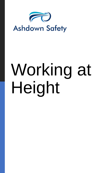

# Working at Height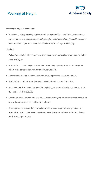



## **Working at height is defined as:**

• *'work in any place, including a place at or below ground level, or obtaining access to or egress from such a place, while at work, except by a staircase where, if suitable measures were not taken, a person could fall a distance likely to cause personal injury'.*

#### **The facts**

- Falling from a height of just one or two steps can cause serious injury. Work at any height can cause injury.
- In 2018/19 falls from height accounted for 8% of employer-reported non-fatal injuries whilst in the construction industry this figure was 19%.
- Ladders are probably the most used and misused pieces of access equipment.
- Most ladder accidents occur because the ladder is not secured at the top.
- For 5 years work at height has been the single biggest cause of workplace deaths with 40 people killed in 2018/19
- Unsuitable access equipment (such as chairs and tables) can cause serious accidents even in low risk premises such as offices and schools.
- It is important to ensure that contractors working on an organisation's premises (for example for roof maintenance or window cleaning) are properly controlled and do not work in a dangerous way.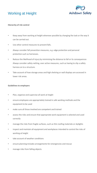



## **Hierarchy of risk control**

- Keep away from working at height wherever possible by changing the task or the way it can be carried out.
- Use other control measures to prevent falls.
- Always consider fall prevention measures, e.g. edge protection and personal protection such as harnesses.
- Reduce the likelihood of injury by minimising the distance to fall or its consequences Always consider safety netting, over active measures, such as having to clip a safety harness on to a structure.
- Take account of how storage areas and high shelving or wall displays are accessed in lower risk areas.

## **Guidelines to employers**

- Plan, organise and supervise all work at height
- ensure employees are appropriately trained in safe working methods and the equipment to be used
- make sure all those involved are competent and trained
- assess the risks and ensure that appropriate work equipment is selected and used correctly
- manage the risks from fragile surfaces, such as thin roofing materials or skylights
- inspect and maintain all equipment and workplaces intended to control the risks of working at height
- take account of weather conditions
- ensure planning includes arrangements for emergencies and rescue
- manage risks from falling objects.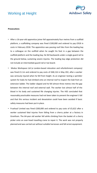# Working at Height



#### **Prosecutions**

- After a 16-year-old apprentice joiner fell approximately four metres from a scaffold platform, a scaffolding company was fined £100,000 and ordered to pay £918 in costs in February 2018. The apprentice was passing roof tiles from the loading bay to a colleague on the scaffold when he caught his foot in a gap between the scaffold platform and the loading bay. He fell backwards under a single guard rail to the ground below, sustaining severe injuries. The loading bay edge protection did not include an intermediate guard-rail or toe board.
- Modus Workspace Ltd (a London-based relocation and refurbishment company) was fined £1.1m and ordered to pay costs of £68,116 in May 202, after a worker was seriously injured when he fell from height. As an engineer testing a sprinkler system for leaks he had climbed onto an internal roof to inspect the leak from an extension ladder. The ladder slipped and he fell almost three metres into the gap between the internal roof and external wall. The worker lost almost half of the blood in his body and sustained life changing injuries. The HSE concluded that reasonably practicable measures had not been taken to prevent the engineer's fall and that this serious incident and devastation could have been avoided if basic safety measures had been put in place.
- Fruehauf Limited was fined £200,000 and ordered to pay costs of £5,622 after a worker sustained fatal injuries from falling from a cherry picker at a factory in Grantham. The 64-year old worker fell while climbing from the basket of a cherry picker onto an over-head travelling crane to repair it. The work was not properly planned and was carried out without suitable harnesses and fall arrest equipment.